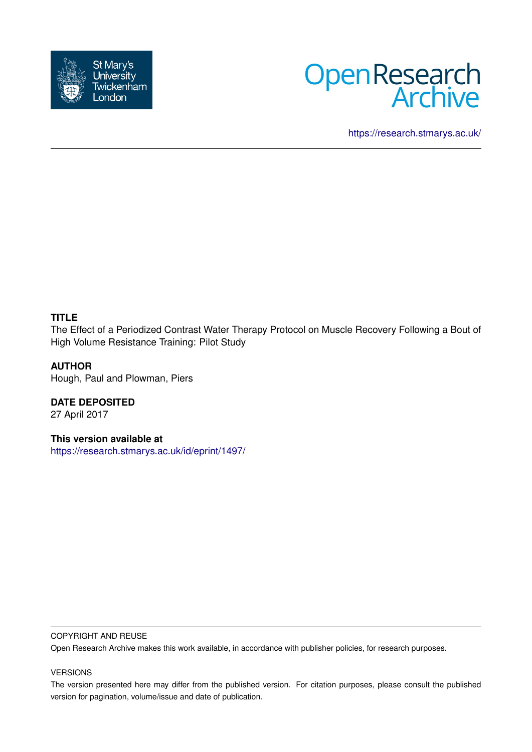



<https://research.stmarys.ac.uk/>

### **TITLE**

The Effect of a Periodized Contrast Water Therapy Protocol on Muscle Recovery Following a Bout of High Volume Resistance Training: Pilot Study

### **AUTHOR**

Hough, Paul and Plowman, Piers

**DATE DEPOSITED** 27 April 2017

**This version available at** <https://research.stmarys.ac.uk/id/eprint/1497/>

#### COPYRIGHT AND REUSE

Open Research Archive makes this work available, in accordance with publisher policies, for research purposes.

#### VERSIONS

The version presented here may differ from the published version. For citation purposes, please consult the published version for pagination, volume/issue and date of publication.